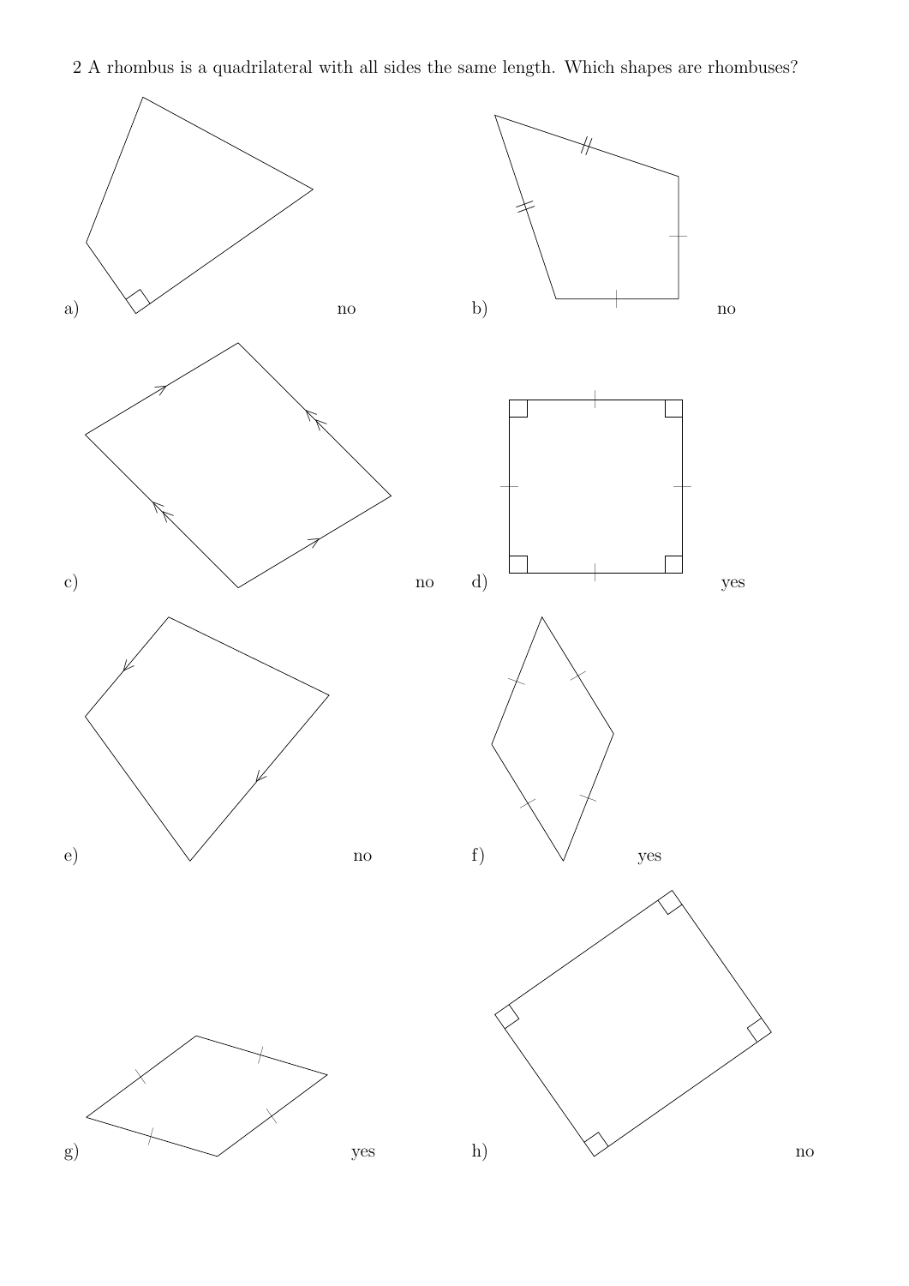

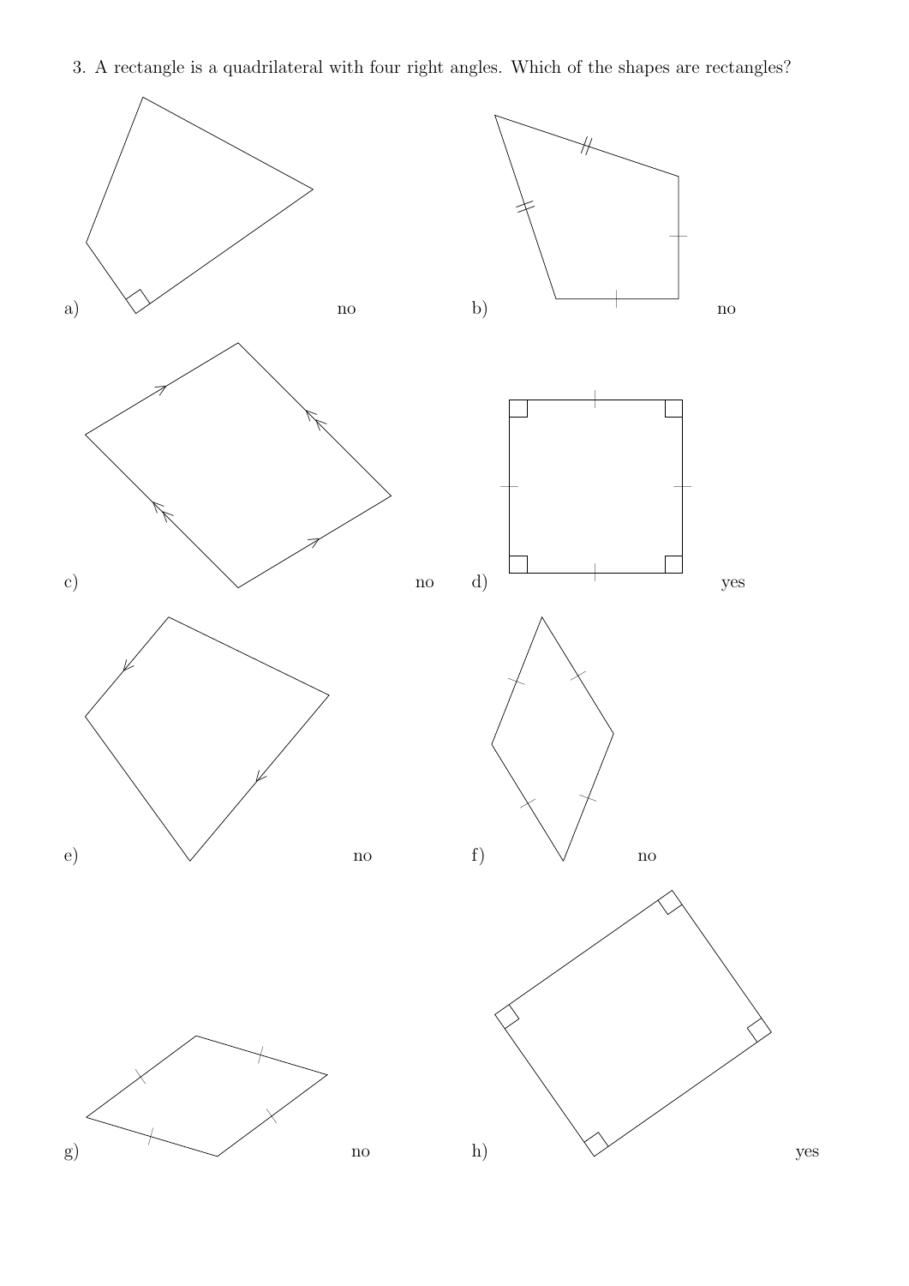3. A rectangle is a quadrilateral with four right angles. Which of the shapes are rectangles?

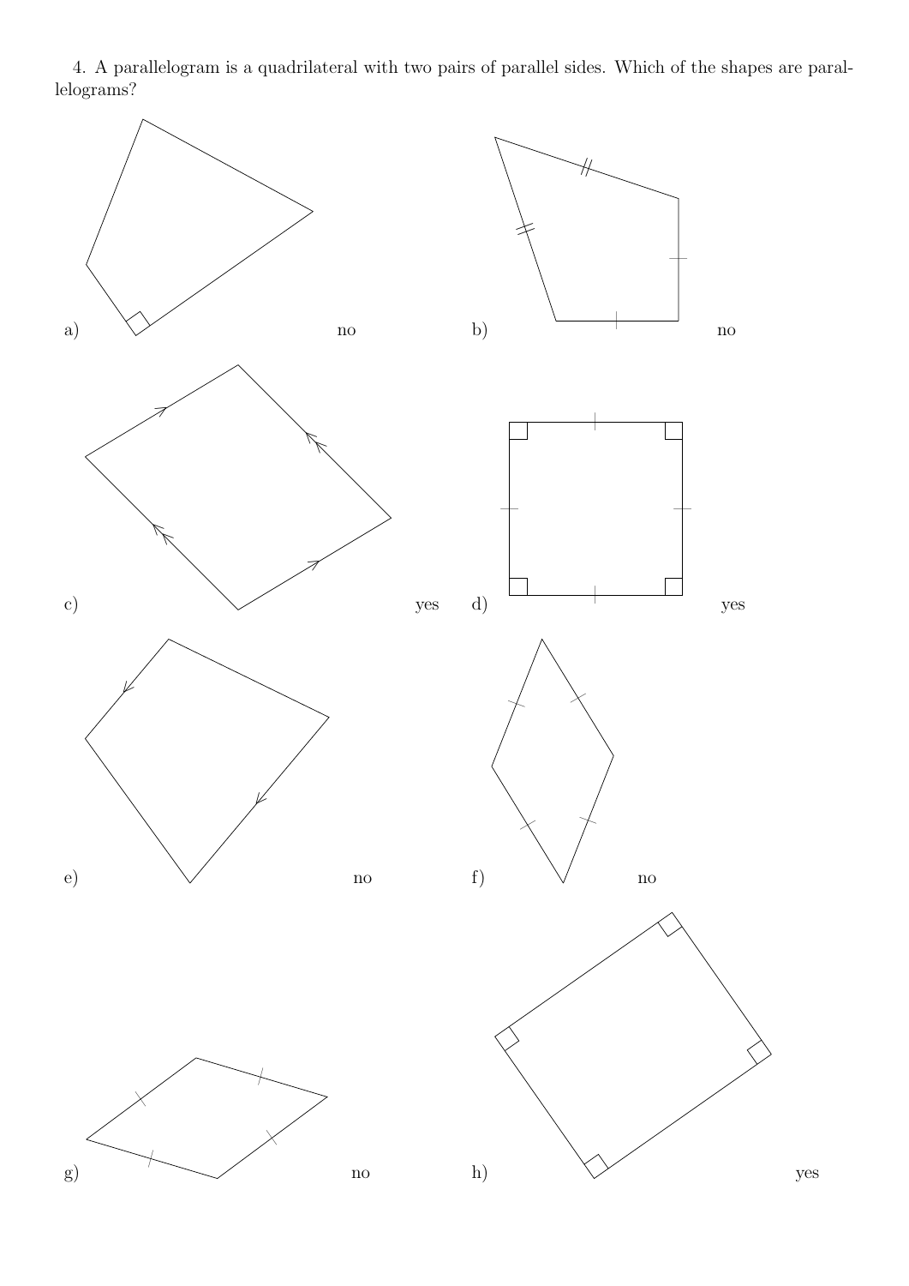4. A parallelogram is a quadrilateral with two pairs of parallel sides. Which of the shapes are parallelograms?

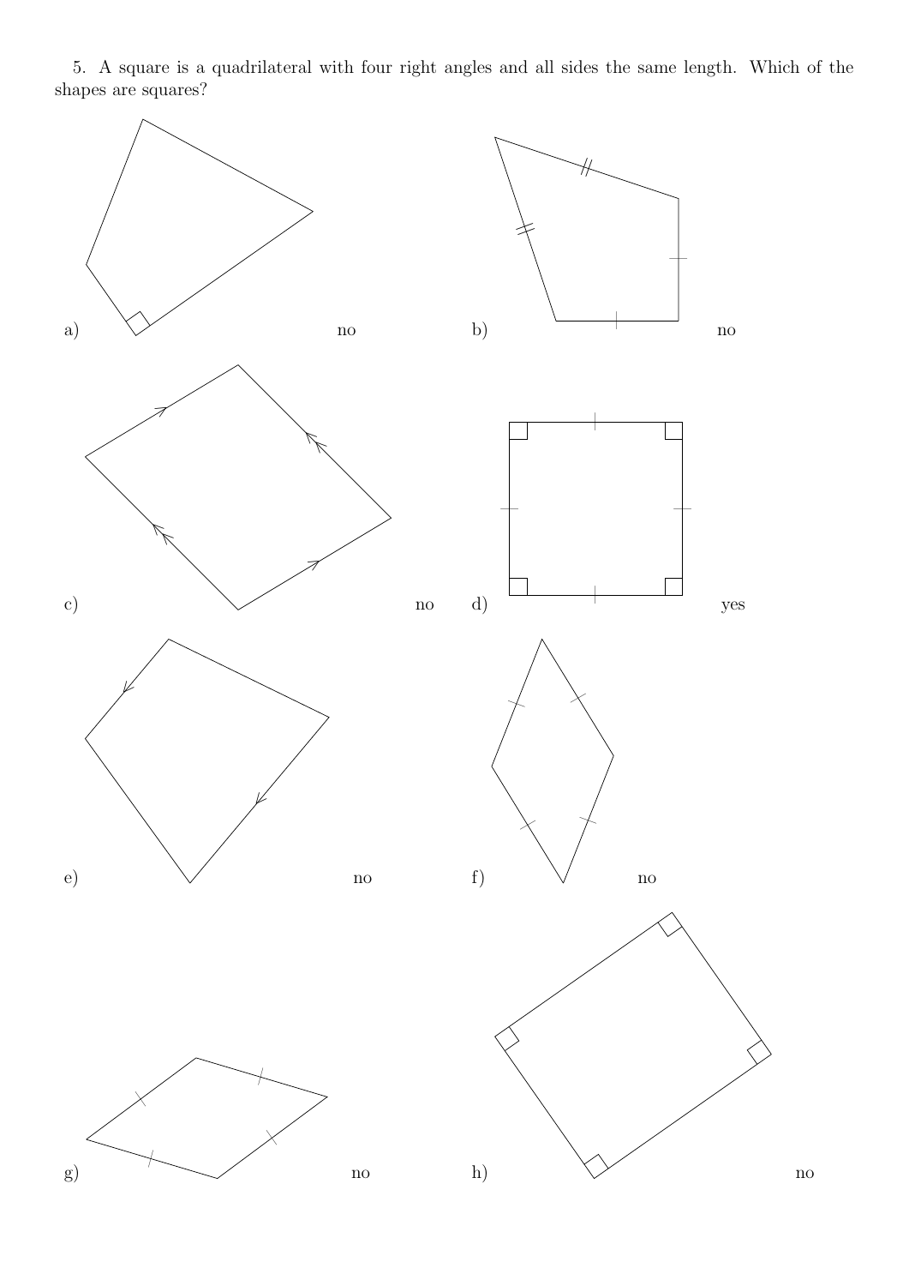5. A square is a quadrilateral with four right angles and all sides the same length. Which of the shapes are squares?

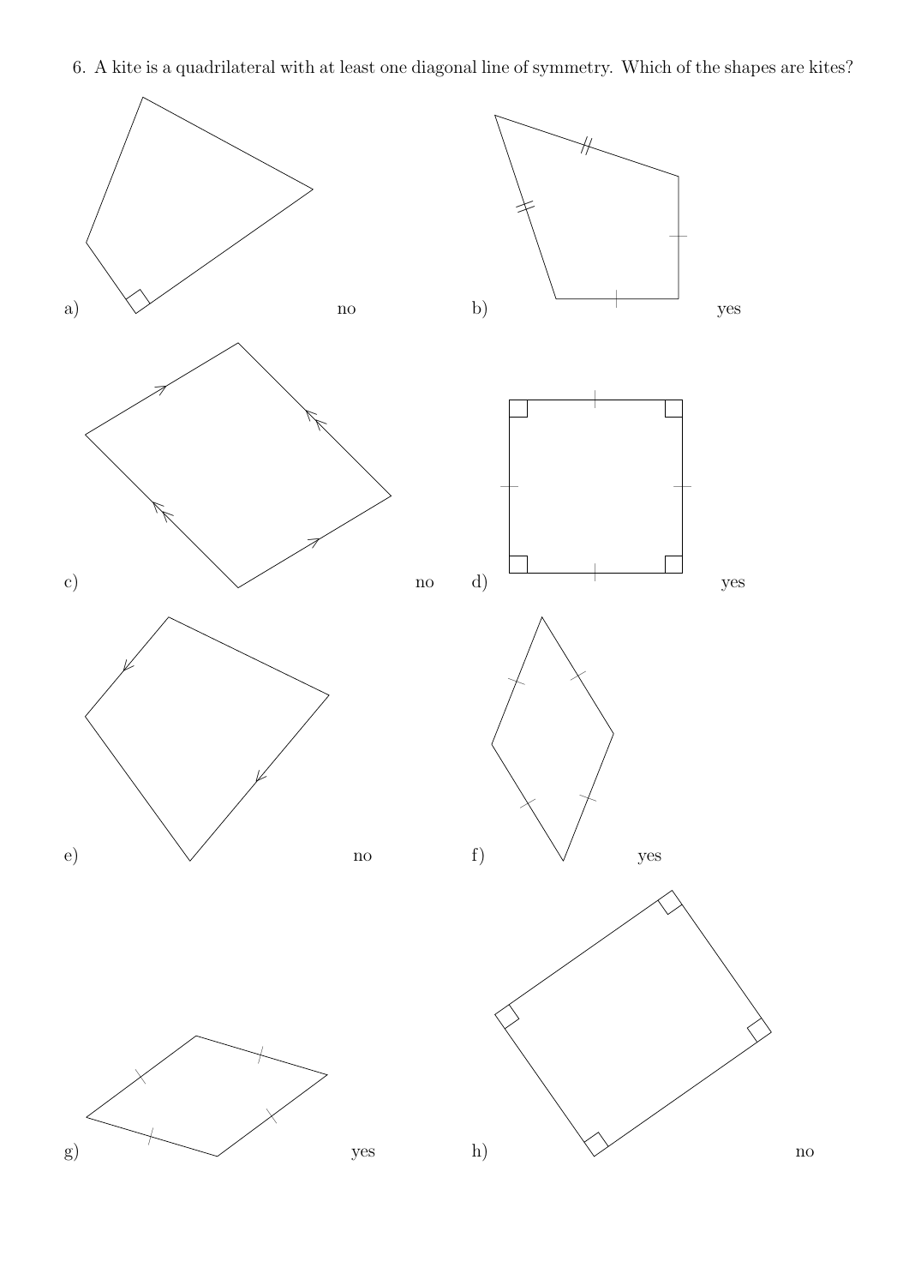6. A kite is a quadrilateral with at least one diagonal line of symmetry. Which of the shapes are kites?